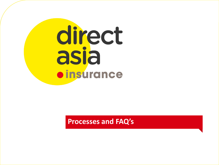# direct asia **oinsurance**

**Processes and FAQ's**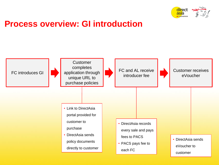

## **Process overview: GI introduction**

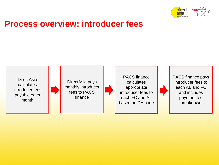

### **Process overview: introducer fees**

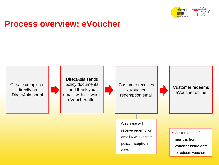

## **Process overview: eVoucher**

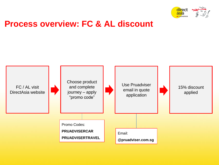

## **Process overview: FC & AL discount**

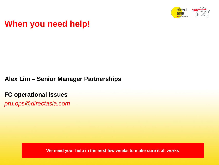

## **When you need help!**

#### **Alex Lim – Senior Manager Partnerships**

#### **FC operational issues**

*pru.ops@directasia.com*

**We need your help in the next few weeks to make sure it all works**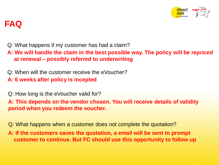

Q: What happens if my customer has had a claim?

**A: We will handle the claim in the best possible way. The policy will be repriced at renewal – possibly referred to underwriting**

Q: When will the customer receive the eVoucher?

**A: 6 weeks after policy is incepted**

Q: How long is the eVoucher valid for?

**A: This depends on the vendor chosen. You will receive details of validity period when you redeem the voucher.** 

Q: What happens when a customer does not complete the quotation?

**A: If the customers saves the quotation, a email will be sent to prompt customer to continue. But FC should use this opportunity to follow up**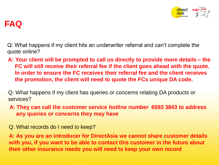

Q: What happens if my client hits an underwriter referral and can't complete the quote online?

**A: Your client will be prompted to call us directly to provide more details – the FC will still receive their referral fee if the client goes ahead with the quote. In order to ensure the FC receives their referral fee and the client receives the promotion, the client will need to quote the FCs unique DA code.** 

Q: What happens if my client has queries or concerns relating DA products or services?

**A: They can call the customer service hotline number 6593 3843 to address any queries or concerns they may have**

Q: What records do I need to keep?

**A: As you are an introducer for DirectAsia we cannot share customer details with you, if you want to be able to contact this customer in the future about their other insurance needs you will need to keep your own record**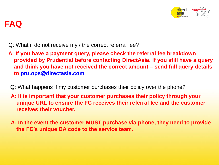

Q: What if do not receive my / the correct referral fee?

- **A: If you have a payment query, please check the referral fee breakdown provided by Prudential before contacting DirectAsia. If you still have a query and think you have not received the correct amount – send full query details to [pru.ops@directasia.com](mailto:pru.ops@directasia.com)**
	- Q: What happens if my customer purchases their policy over the phone?
	- **A: It is important that your customer purchases their policy through your unique URL to ensure the FC receives their referral fee and the customer receives their voucher.**
	- **A: In the event the customer MUST purchase via phone, they need to provide the FC's unique DA code to the service team.**